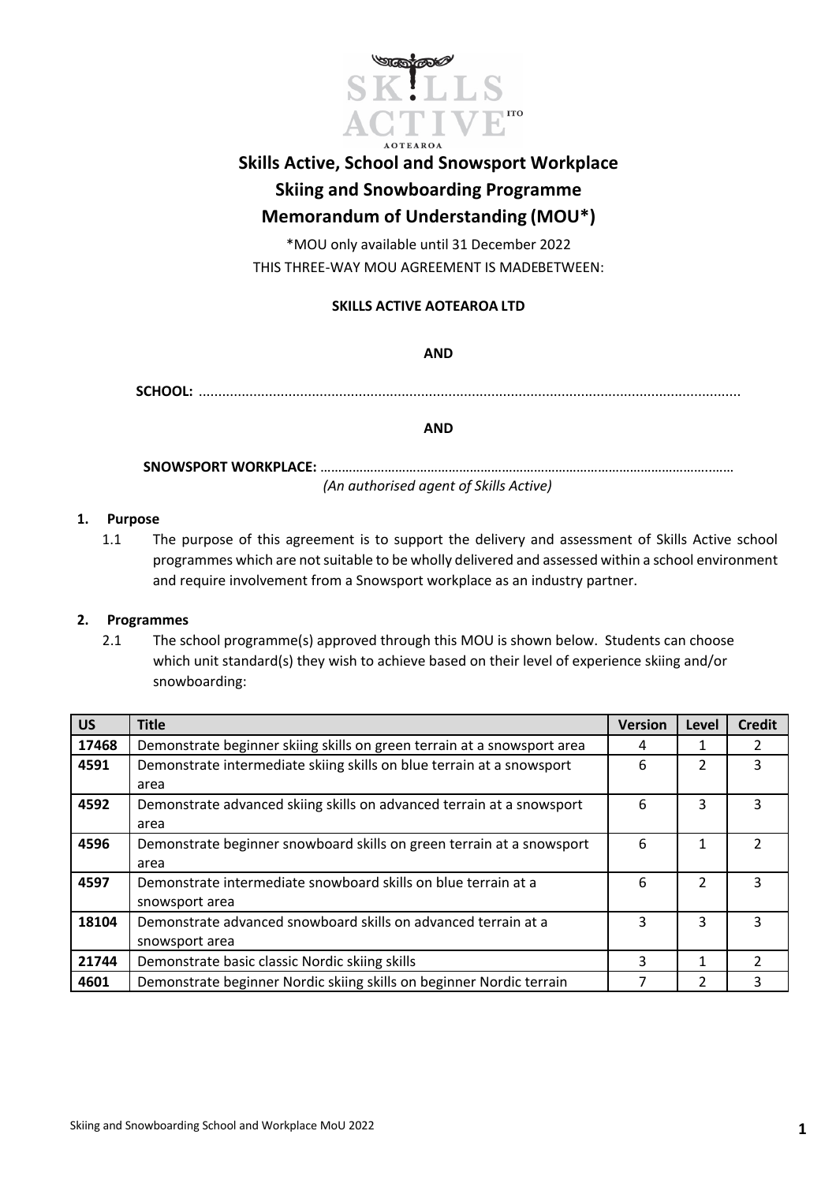

# **Skills Active, School and Snowsport Workplace Skiing and Snowboarding Programme Memorandum of Understanding (MOU\*)**

\*MOU only available until 31 December 2022 THIS THREE-WAY MOU AGREEMENT IS MADEBETWEEN:

### **SKILLS ACTIVE AOTEAROA LTD**

**AND**

**SCHOOL:** ...........................................................................................................................................

**AND**

**SNOWSPORT WORKPLACE:** ………………………………………………………………………………………………..…… *(An authorised agent of Skills Active)*

#### **1. Purpose**

1.1 The purpose of this agreement is to support the delivery and assessment of Skills Active school programmes which are not suitable to be wholly delivered and assessed within a school environment and require involvement from a Snowsport workplace as an industry partner.

#### **2. Programmes**

2.1 The school programme(s) approved through this MOU is shown below. Students can choose which unit standard(s) they wish to achieve based on their level of experience skiing and/or snowboarding:

| <b>US</b> | <b>Title</b>                                                            | <b>Version</b> | Level          | <b>Credit</b> |
|-----------|-------------------------------------------------------------------------|----------------|----------------|---------------|
| 17468     | Demonstrate beginner skiing skills on green terrain at a snowsport area | 4              | 1              |               |
| 4591      | Demonstrate intermediate skiing skills on blue terrain at a snowsport   | 6              | $\mathcal{P}$  | 3             |
|           | area                                                                    |                |                |               |
| 4592      | Demonstrate advanced skiing skills on advanced terrain at a snowsport   |                | 3              | 3             |
|           | area                                                                    |                |                |               |
| 4596      | Demonstrate beginner snowboard skills on green terrain at a snowsport   | 6              |                |               |
|           | area                                                                    |                |                |               |
| 4597      | Demonstrate intermediate snowboard skills on blue terrain at a          | 6              | $\mathcal{P}$  | ર             |
|           | snowsport area                                                          |                |                |               |
| 18104     | Demonstrate advanced snowboard skills on advanced terrain at a          | 3              | 3              | 3             |
|           | snowsport area                                                          |                |                |               |
| 21744     | Demonstrate basic classic Nordic skiing skills                          | 3              | $\mathbf{1}$   |               |
| 4601      | Demonstrate beginner Nordic skiing skills on beginner Nordic terrain    |                | $\overline{2}$ |               |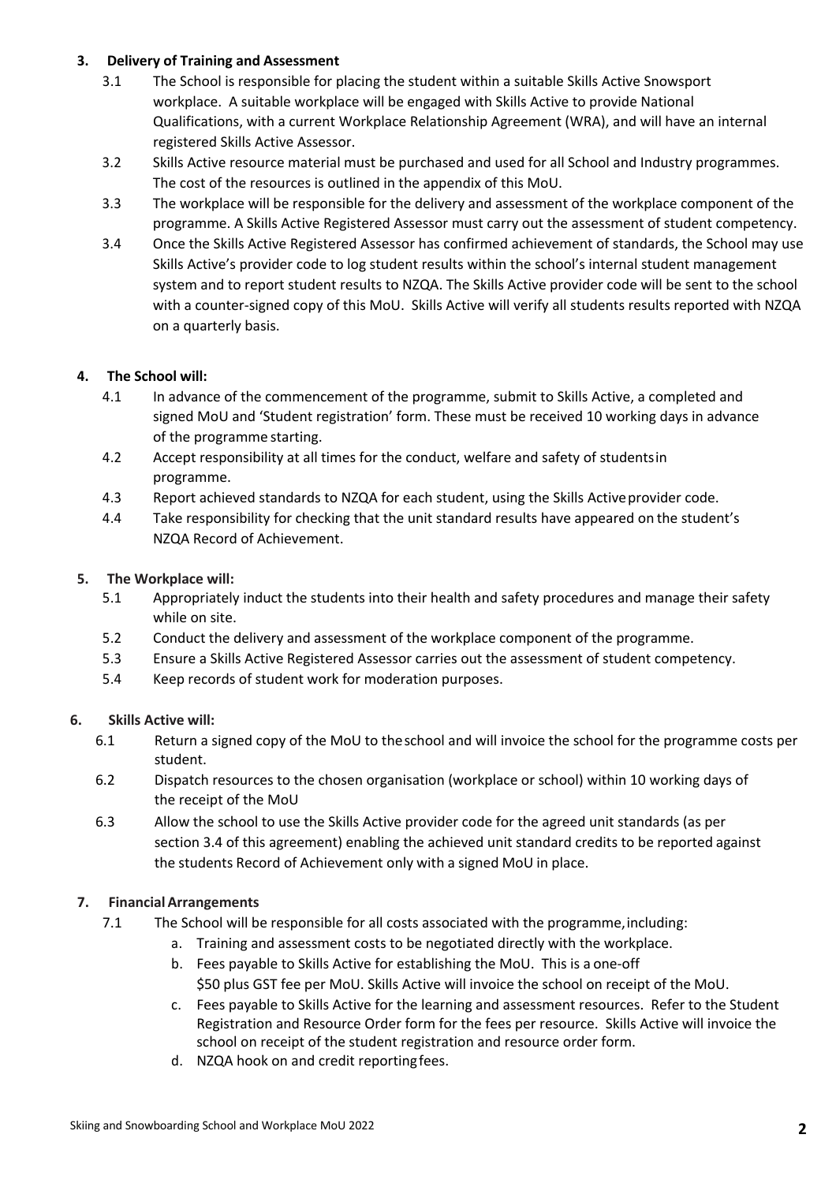#### **3. Delivery of Training and Assessment**

- 3.1 The School is responsible for placing the student within a suitable Skills Active Snowsport workplace. A suitable workplace will be engaged with Skills Active to provide National Qualifications, with a current Workplace Relationship Agreement (WRA), and will have an internal registered Skills Active Assessor.
- 3.2 Skills Active resource material must be purchased and used for all School and Industry programmes. The cost of the resources is outlined in the appendix of this MoU.
- 3.3 The workplace will be responsible for the delivery and assessment of the workplace component of the programme. A Skills Active Registered Assessor must carry out the assessment of student competency.
- 3.4 Once the Skills Active Registered Assessor has confirmed achievement of standards, the School may use Skills Active's provider code to log student results within the school's internal student management system and to report student results to NZQA. The Skills Active provider code will be sent to the school with a counter-signed copy of this MoU. Skills Active will verify all students results reported with NZQA on a quarterly basis.

### **4. The School will:**

- 4.1 In advance of the commencement of the programme, submit to Skills Active, a completed and signed MoU and 'Student registration' form. These must be received 10 working days in advance of the programme starting.
- 4.2 Accept responsibility at all times for the conduct, welfare and safety of studentsin programme.
- 4.3 Report achieved standards to NZQA for each student, using the Skills Activeprovider code.
- 4.4 Take responsibility for checking that the unit standard results have appeared on the student's NZQA Record of Achievement.

### **5. The Workplace will:**

- 5.1 Appropriately induct the students into their health and safety procedures and manage their safety while on site.
- 5.2 Conduct the delivery and assessment of the workplace component of the programme.
- 5.3 Ensure a Skills Active Registered Assessor carries out the assessment of student competency.
- 5.4 Keep records of student work for moderation purposes.

#### **6. Skills Active will:**

- 6.1 Return a signed copy of the MoU to the school and will invoice the school for the programme costs per student.
- 6.2 Dispatch resources to the chosen organisation (workplace or school) within 10 working days of the receipt of the MoU
- 6.3 Allow the school to use the Skills Active provider code for the agreed unit standards (as per section 3.4 of this agreement) enabling the achieved unit standard credits to be reported against the students Record of Achievement only with a signed MoU in place.

#### **7. FinancialArrangements**

- 7.1 The School will be responsible for all costs associated with the programme,including:
	- a. Training and assessment costs to be negotiated directly with the workplace.
	- b. Fees payable to Skills Active for establishing the MoU. This is a one-off \$50 plus GST fee per MoU. Skills Active will invoice the school on receipt of the MoU.
	- c. Fees payable to Skills Active for the learning and assessment resources. Refer to the Student Registration and Resource Order form for the fees per resource. Skills Active will invoice the school on receipt of the student registration and resource order form.
	- d. NZQA hook on and credit reportingfees.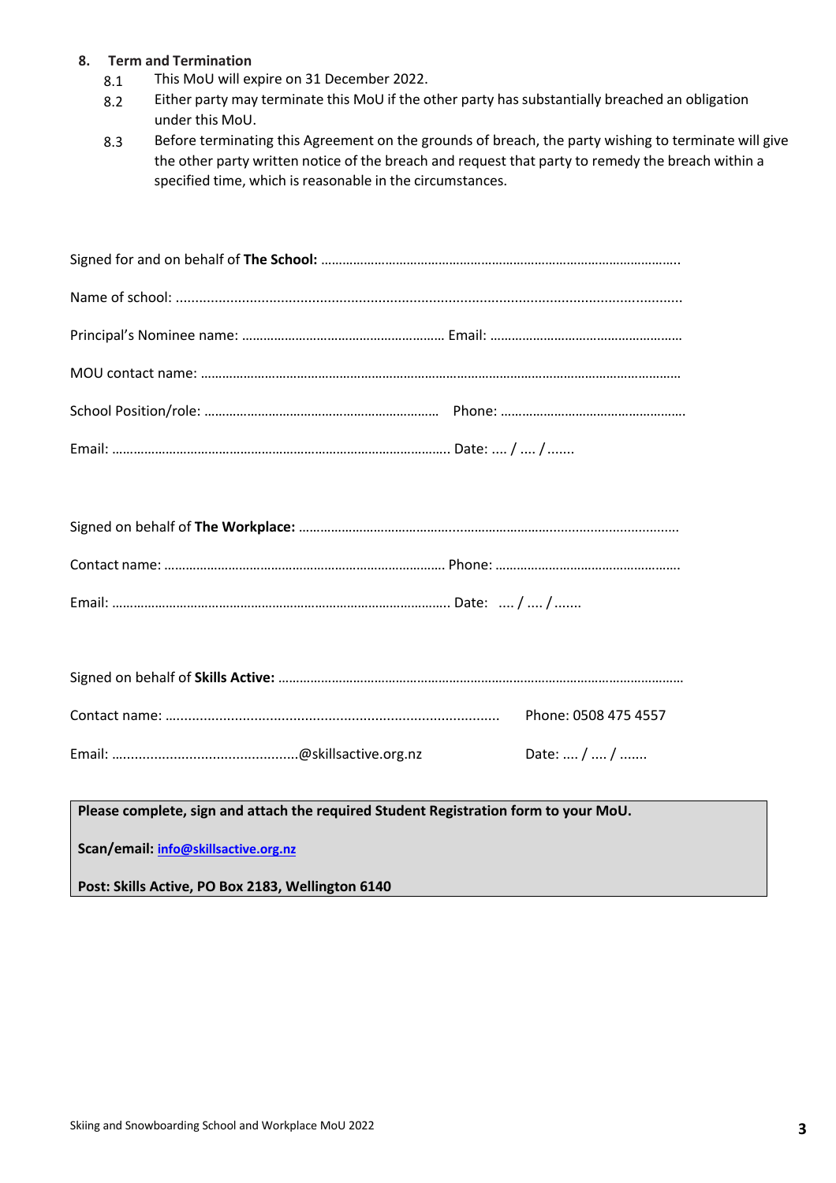#### **8. Term and Termination**

- 8.1 This MoU will expire on 31 December 2022.
- 8.2 Either party may terminate this MoU if the other party has substantially breached an obligation under this MoU.
- 8.3 Before terminating this Agreement on the grounds of breach, the party wishing to terminate will give the other party written notice of the breach and request that party to remedy the breach within a specified time, which is reasonable in the circumstances.

|  | Phone: 0508 475 4557 |
|--|----------------------|
|  | Date:  /  /          |

**Please complete, sign and attach the required Student Registration form to your MoU.**

**Scan/email: info@skillsactive.org.nz**

**Post: Skills Active, PO Box 2183, Wellington 6140**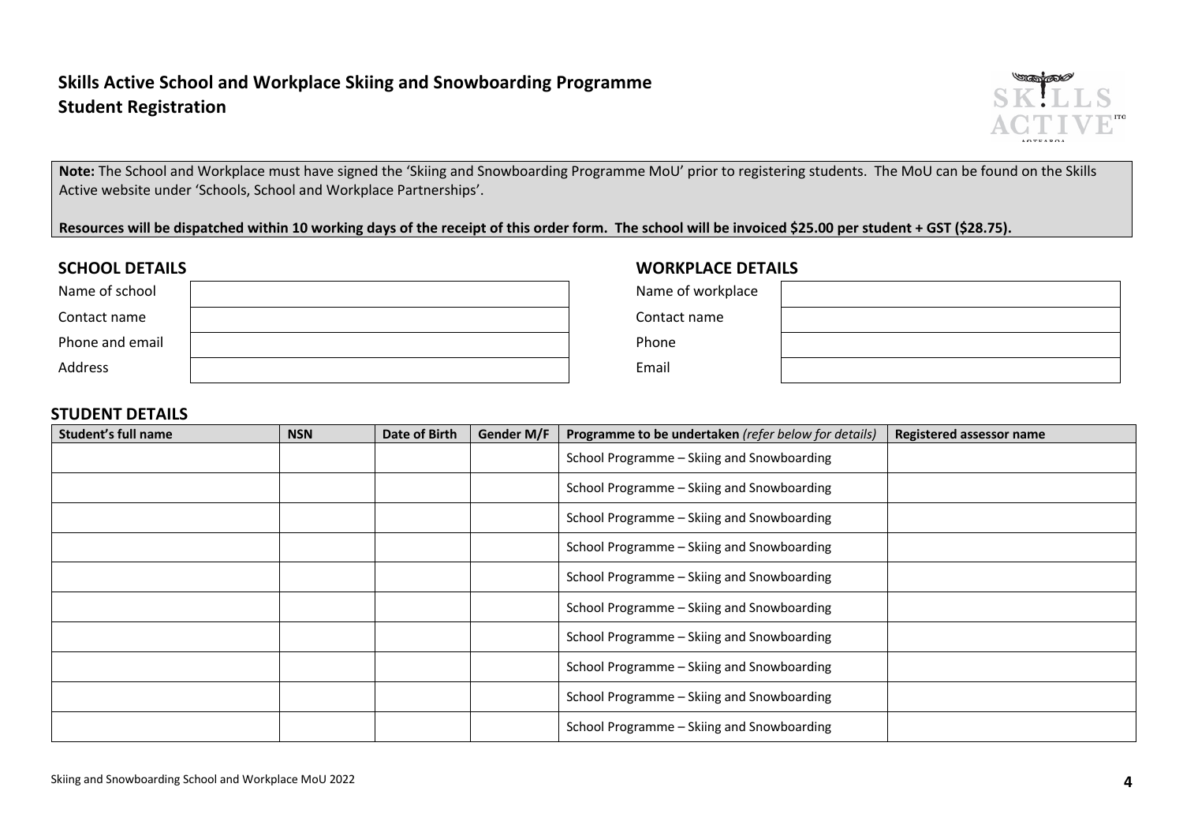# **Skills Active School and Workplace Skiing and Snowboarding Programme Student Registration**



**Note:** The School and Workplace must have signed the 'Skiing and Snowboarding Programme MoU' prior to registering students. The MoU can be found on the Skills Active website under 'Schools, School and Workplace Partnerships'.

Resources will be dispatched within 10 working days of the receipt of this order form. The school will be invoiced \$25.00 per student + GST (\$28.75).

| Name of school  | Name of workplace |
|-----------------|-------------------|
| Contact name    | Contact name      |
| Phone and email | Phone             |
| <b>Address</b>  | Email             |

# **SCHOOL DETAILS WORKPLACE DETAILS**

| e of workplace |  |
|----------------|--|
| tact name      |  |
| ne             |  |
| ۱il            |  |

## **STUDENT DETAILS**

| Student's full name | <b>NSN</b> | Date of Birth | Gender M/F | Programme to be undertaken (refer below for details) | <b>Registered assessor name</b> |
|---------------------|------------|---------------|------------|------------------------------------------------------|---------------------------------|
|                     |            |               |            | School Programme - Skiing and Snowboarding           |                                 |
|                     |            |               |            | School Programme - Skiing and Snowboarding           |                                 |
|                     |            |               |            | School Programme - Skiing and Snowboarding           |                                 |
|                     |            |               |            | School Programme - Skiing and Snowboarding           |                                 |
|                     |            |               |            | School Programme - Skiing and Snowboarding           |                                 |
|                     |            |               |            | School Programme - Skiing and Snowboarding           |                                 |
|                     |            |               |            | School Programme - Skiing and Snowboarding           |                                 |
|                     |            |               |            | School Programme - Skiing and Snowboarding           |                                 |
|                     |            |               |            | School Programme - Skiing and Snowboarding           |                                 |
|                     |            |               |            | School Programme - Skiing and Snowboarding           |                                 |